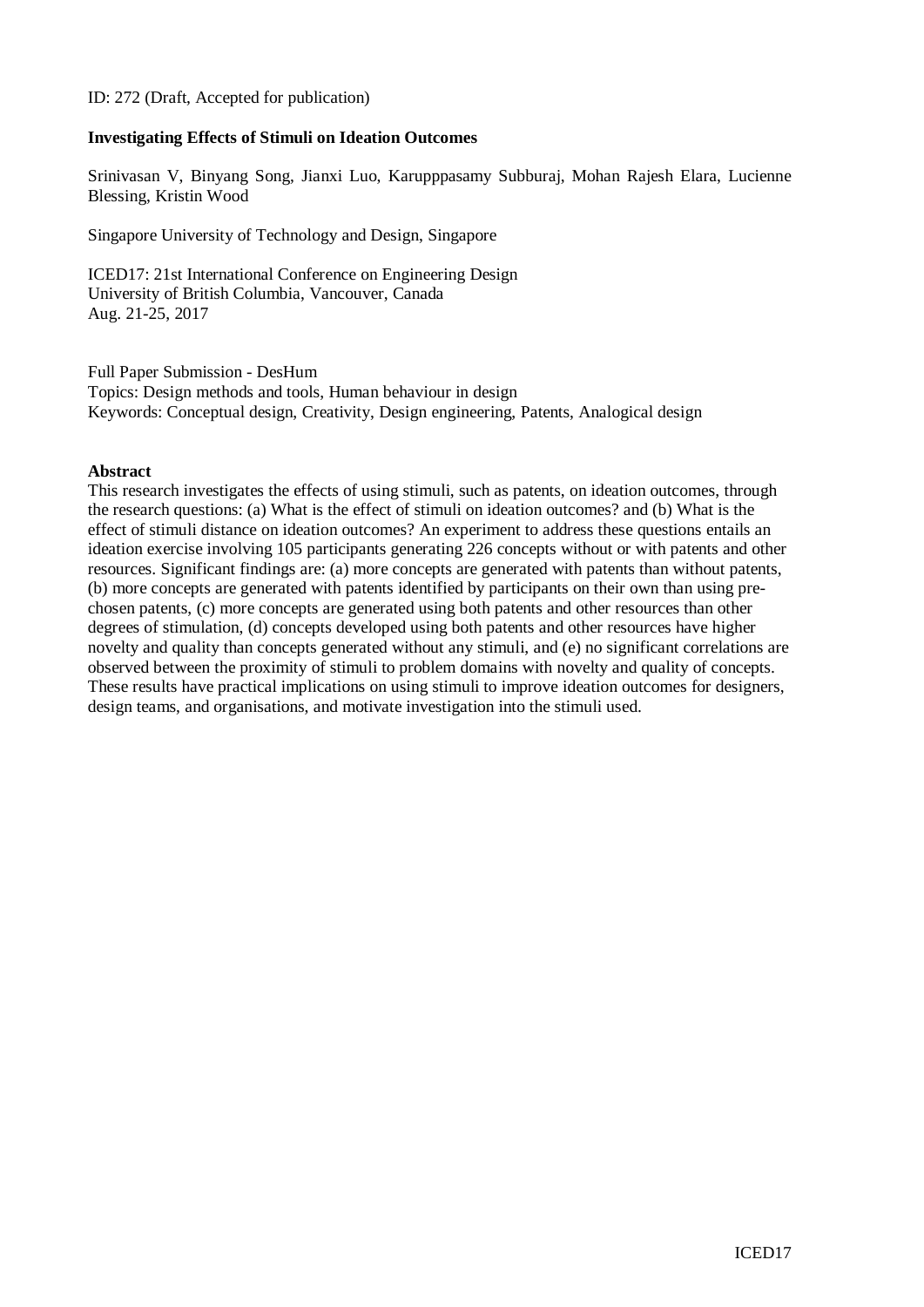#### ID: 272 (Draft, Accepted for publication)

### **Investigating Effects of Stimuli on Ideation Outcomes**

Srinivasan V, Binyang Song, Jianxi Luo, Karupppasamy Subburaj, Mohan Rajesh Elara, Lucienne Blessing, Kristin Wood

Singapore University of Technology and Design, Singapore

ICED17: 21st International Conference on Engineering Design University of British Columbia, Vancouver, Canada Aug. 21-25, 2017

Full Paper Submission - DesHum Topics: Design methods and tools, Human behaviour in design Keywords: Conceptual design, Creativity, Design engineering, Patents, Analogical design

#### **Abstract**

This research investigates the effects of using stimuli, such as patents, on ideation outcomes, through the research questions: (a) What is the effect of stimuli on ideation outcomes? and (b) What is the effect of stimuli distance on ideation outcomes? An experiment to address these questions entails an ideation exercise involving 105 participants generating 226 concepts without or with patents and other resources. Significant findings are: (a) more concepts are generated with patents than without patents, (b) more concepts are generated with patents identified by participants on their own than using prechosen patents, (c) more concepts are generated using both patents and other resources than other degrees of stimulation, (d) concepts developed using both patents and other resources have higher novelty and quality than concepts generated without any stimuli, and (e) no significant correlations are observed between the proximity of stimuli to problem domains with novelty and quality of concepts. These results have practical implications on using stimuli to improve ideation outcomes for designers, design teams, and organisations, and motivate investigation into the stimuli used.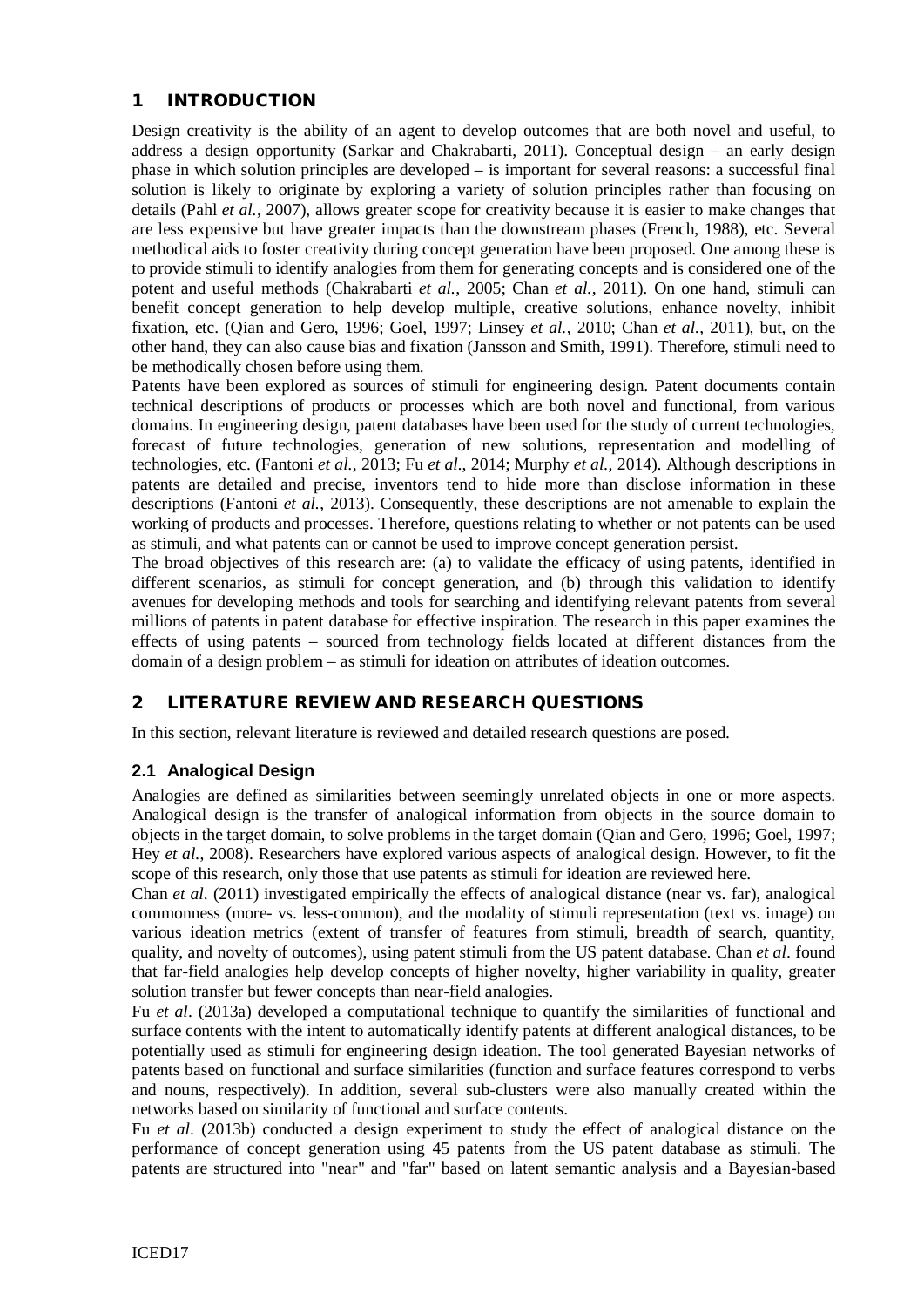# 1 INTRODUCTION

Design creativity is the ability of an agent to develop outcomes that are both novel and useful, to address a design opportunity (Sarkar and Chakrabarti, 2011). Conceptual design – an early design phase in which solution principles are developed – is important for several reasons: a successful final solution is likely to originate by exploring a variety of solution principles rather than focusing on details (Pahl *et al.*, 2007), allows greater scope for creativity because it is easier to make changes that are less expensive but have greater impacts than the downstream phases (French, 1988), etc. Several methodical aids to foster creativity during concept generation have been proposed. One among these is to provide stimuli to identify analogies from them for generating concepts and is considered one of the potent and useful methods (Chakrabarti *et al.*, 2005; Chan *et al.*, 2011). On one hand, stimuli can benefit concept generation to help develop multiple, creative solutions, enhance novelty, inhibit fixation, etc. (Qian and Gero, 1996; Goel, 1997; Linsey *et al.*, 2010; Chan *et al.*, 2011), but, on the other hand, they can also cause bias and fixation (Jansson and Smith, 1991). Therefore, stimuli need to be methodically chosen before using them.

Patents have been explored as sources of stimuli for engineering design. Patent documents contain technical descriptions of products or processes which are both novel and functional, from various domains. In engineering design, patent databases have been used for the study of current technologies, forecast of future technologies, generation of new solutions, representation and modelling of technologies, etc. (Fantoni *et al.*, 2013; Fu *et al.*, 2014; Murphy *et al.*, 2014). Although descriptions in patents are detailed and precise, inventors tend to hide more than disclose information in these descriptions (Fantoni *et al.*, 2013). Consequently, these descriptions are not amenable to explain the working of products and processes. Therefore, questions relating to whether or not patents can be used as stimuli, and what patents can or cannot be used to improve concept generation persist.

The broad objectives of this research are: (a) to validate the efficacy of using patents, identified in different scenarios, as stimuli for concept generation, and (b) through this validation to identify avenues for developing methods and tools for searching and identifying relevant patents from several millions of patents in patent database for effective inspiration. The research in this paper examines the effects of using patents – sourced from technology fields located at different distances from the domain of a design problem – as stimuli for ideation on attributes of ideation outcomes.

# 2 LITERATURE REVIEW AND RESEARCH QUESTIONS

In this section, relevant literature is reviewed and detailed research questions are posed.

# **2.1 Analogical Design**

Analogies are defined as similarities between seemingly unrelated objects in one or more aspects. Analogical design is the transfer of analogical information from objects in the source domain to objects in the target domain, to solve problems in the target domain (Qian and Gero, 1996; Goel, 1997; Hey *et al.*, 2008). Researchers have explored various aspects of analogical design. However, to fit the scope of this research, only those that use patents as stimuli for ideation are reviewed here.

Chan *et al*. (2011) investigated empirically the effects of analogical distance (near vs. far), analogical commonness (more- vs. less-common), and the modality of stimuli representation (text vs. image) on various ideation metrics (extent of transfer of features from stimuli, breadth of search, quantity, quality, and novelty of outcomes), using patent stimuli from the US patent database. Chan *et al*. found that far-field analogies help develop concepts of higher novelty, higher variability in quality, greater solution transfer but fewer concepts than near-field analogies.

Fu *et al*. (2013a) developed a computational technique to quantify the similarities of functional and surface contents with the intent to automatically identify patents at different analogical distances, to be potentially used as stimuli for engineering design ideation. The tool generated Bayesian networks of patents based on functional and surface similarities (function and surface features correspond to verbs and nouns, respectively). In addition, several sub-clusters were also manually created within the networks based on similarity of functional and surface contents.

Fu *et al*. (2013b) conducted a design experiment to study the effect of analogical distance on the performance of concept generation using 45 patents from the US patent database as stimuli. The patents are structured into "near" and "far" based on latent semantic analysis and a Bayesian-based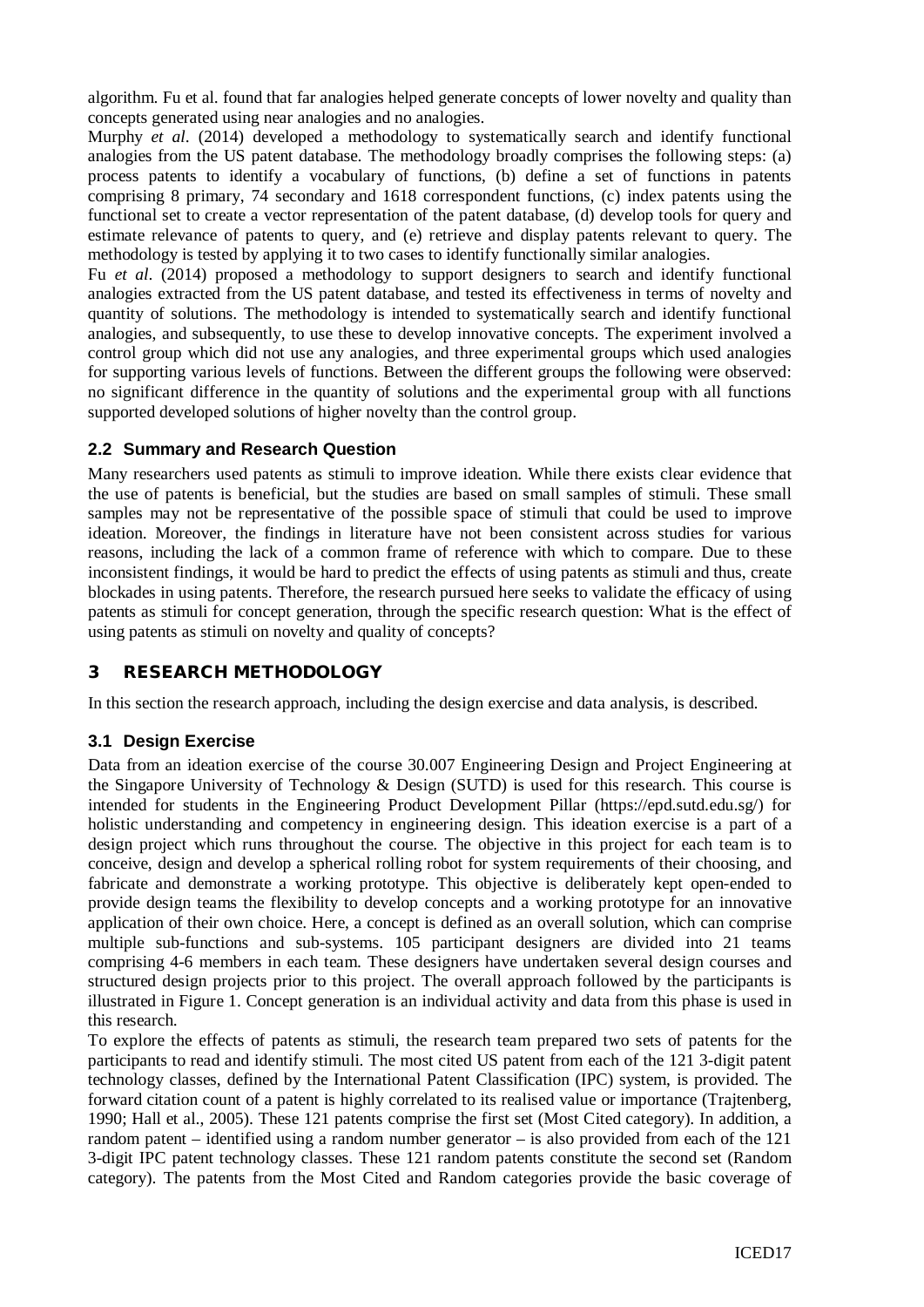algorithm. Fu et al. found that far analogies helped generate concepts of lower novelty and quality than concepts generated using near analogies and no analogies.

Murphy *et al*. (2014) developed a methodology to systematically search and identify functional analogies from the US patent database. The methodology broadly comprises the following steps: (a) process patents to identify a vocabulary of functions, (b) define a set of functions in patents comprising 8 primary, 74 secondary and 1618 correspondent functions, (c) index patents using the functional set to create a vector representation of the patent database, (d) develop tools for query and estimate relevance of patents to query, and (e) retrieve and display patents relevant to query. The methodology is tested by applying it to two cases to identify functionally similar analogies.

Fu *et al*. (2014) proposed a methodology to support designers to search and identify functional analogies extracted from the US patent database, and tested its effectiveness in terms of novelty and quantity of solutions. The methodology is intended to systematically search and identify functional analogies, and subsequently, to use these to develop innovative concepts. The experiment involved a control group which did not use any analogies, and three experimental groups which used analogies for supporting various levels of functions. Between the different groups the following were observed: no significant difference in the quantity of solutions and the experimental group with all functions supported developed solutions of higher novelty than the control group.

### **2.2 Summary and Research Question**

Many researchers used patents as stimuli to improve ideation. While there exists clear evidence that the use of patents is beneficial, but the studies are based on small samples of stimuli. These small samples may not be representative of the possible space of stimuli that could be used to improve ideation. Moreover, the findings in literature have not been consistent across studies for various reasons, including the lack of a common frame of reference with which to compare. Due to these inconsistent findings, it would be hard to predict the effects of using patents as stimuli and thus, create blockades in using patents. Therefore, the research pursued here seeks to validate the efficacy of using patents as stimuli for concept generation, through the specific research question: What is the effect of using patents as stimuli on novelty and quality of concepts?

# 3 RESEARCH METHODOLOGY

In this section the research approach, including the design exercise and data analysis, is described.

# **3.1 Design Exercise**

Data from an ideation exercise of the course 30.007 Engineering Design and Project Engineering at the Singapore University of Technology & Design (SUTD) is used for this research. This course is intended for students in the Engineering Product Development Pillar (https://epd.sutd.edu.sg/) for holistic understanding and competency in engineering design. This ideation exercise is a part of a design project which runs throughout the course. The objective in this project for each team is to conceive, design and develop a spherical rolling robot for system requirements of their choosing, and fabricate and demonstrate a working prototype. This objective is deliberately kept open-ended to provide design teams the flexibility to develop concepts and a working prototype for an innovative application of their own choice. Here, a concept is defined as an overall solution, which can comprise multiple sub-functions and sub-systems. 105 participant designers are divided into 21 teams comprising 4-6 members in each team. These designers have undertaken several design courses and structured design projects prior to this project. The overall approach followed by the participants is illustrated in [Figure 1.](#page-3-0) Concept generation is an individual activity and data from this phase is used in this research.

To explore the effects of patents as stimuli, the research team prepared two sets of patents for the participants to read and identify stimuli. The most cited US patent from each of the 121 3-digit patent technology classes, defined by the International Patent Classification (IPC) system, is provided. The forward citation count of a patent is highly correlated to its realised value or importance (Trajtenberg, 1990; Hall et al., 2005). These 121 patents comprise the first set (Most Cited category). In addition, a random patent – identified using a random number generator – is also provided from each of the 121 3-digit IPC patent technology classes. These 121 random patents constitute the second set (Random category). The patents from the Most Cited and Random categories provide the basic coverage of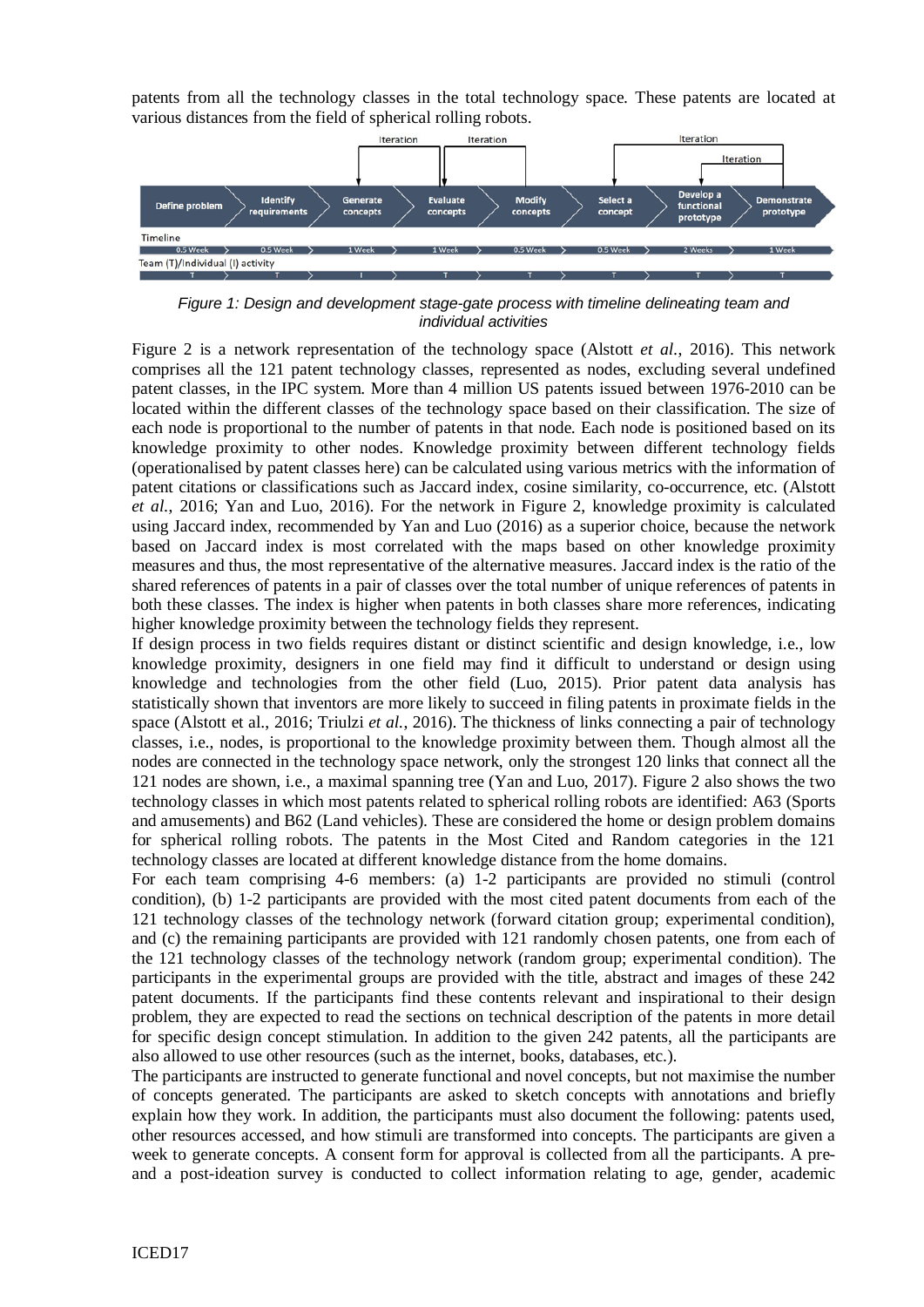patents from all the technology classes in the total technology space. These patents are located at various distances from the field of spherical rolling robots.



<span id="page-3-0"></span>*Figure 1: Design and development stage-gate process with timeline delineating team and individual activities*

Figure 2 is a network representation of the technology space (Alstott *et al.*, 2016). This network comprises all the 121 patent technology classes, represented as nodes, excluding several undefined patent classes, in the IPC system. More than 4 million US patents issued between 1976-2010 can be located within the different classes of the technology space based on their classification. The size of each node is proportional to the number of patents in that node. Each node is positioned based on its knowledge proximity to other nodes. Knowledge proximity between different technology fields (operationalised by patent classes here) can be calculated using various metrics with the information of patent citations or classifications such as Jaccard index, cosine similarity, co-occurrence, etc. (Alstott *et al.*, 2016; Yan and Luo, 2016). For the network in Figure 2, knowledge proximity is calculated using Jaccard index, recommended by Yan and Luo (2016) as a superior choice, because the network based on Jaccard index is most correlated with the maps based on other knowledge proximity measures and thus, the most representative of the alternative measures. Jaccard index is the ratio of the shared references of patents in a pair of classes over the total number of unique references of patents in both these classes. The index is higher when patents in both classes share more references, indicating higher knowledge proximity between the technology fields they represent.

If design process in two fields requires distant or distinct scientific and design knowledge, i.e., low knowledge proximity, designers in one field may find it difficult to understand or design using knowledge and technologies from the other field (Luo, 2015). Prior patent data analysis has statistically shown that inventors are more likely to succeed in filing patents in proximate fields in the space (Alstott et al., 2016; Triulzi *et al.*, 2016). The thickness of links connecting a pair of technology classes, i.e., nodes, is proportional to the knowledge proximity between them. Though almost all the nodes are connected in the technology space network, only the strongest 120 links that connect all the 121 nodes are shown, i.e., a maximal spanning tree (Yan and Luo, 2017). Figure 2 also shows the two technology classes in which most patents related to spherical rolling robots are identified: A63 (Sports and amusements) and B62 (Land vehicles). These are considered the home or design problem domains for spherical rolling robots. The patents in the Most Cited and Random categories in the 121 technology classes are located at different knowledge distance from the home domains.

For each team comprising 4-6 members: (a) 1-2 participants are provided no stimuli (control condition), (b) 1-2 participants are provided with the most cited patent documents from each of the 121 technology classes of the technology network (forward citation group; experimental condition), and (c) the remaining participants are provided with 121 randomly chosen patents, one from each of the 121 technology classes of the technology network (random group; experimental condition). The participants in the experimental groups are provided with the title, abstract and images of these 242 patent documents. If the participants find these contents relevant and inspirational to their design problem, they are expected to read the sections on technical description of the patents in more detail for specific design concept stimulation. In addition to the given 242 patents, all the participants are also allowed to use other resources (such as the internet, books, databases, etc.).

The participants are instructed to generate functional and novel concepts, but not maximise the number of concepts generated. The participants are asked to sketch concepts with annotations and briefly explain how they work. In addition, the participants must also document the following: patents used, other resources accessed, and how stimuli are transformed into concepts. The participants are given a week to generate concepts. A consent form for approval is collected from all the participants. A preand a post-ideation survey is conducted to collect information relating to age, gender, academic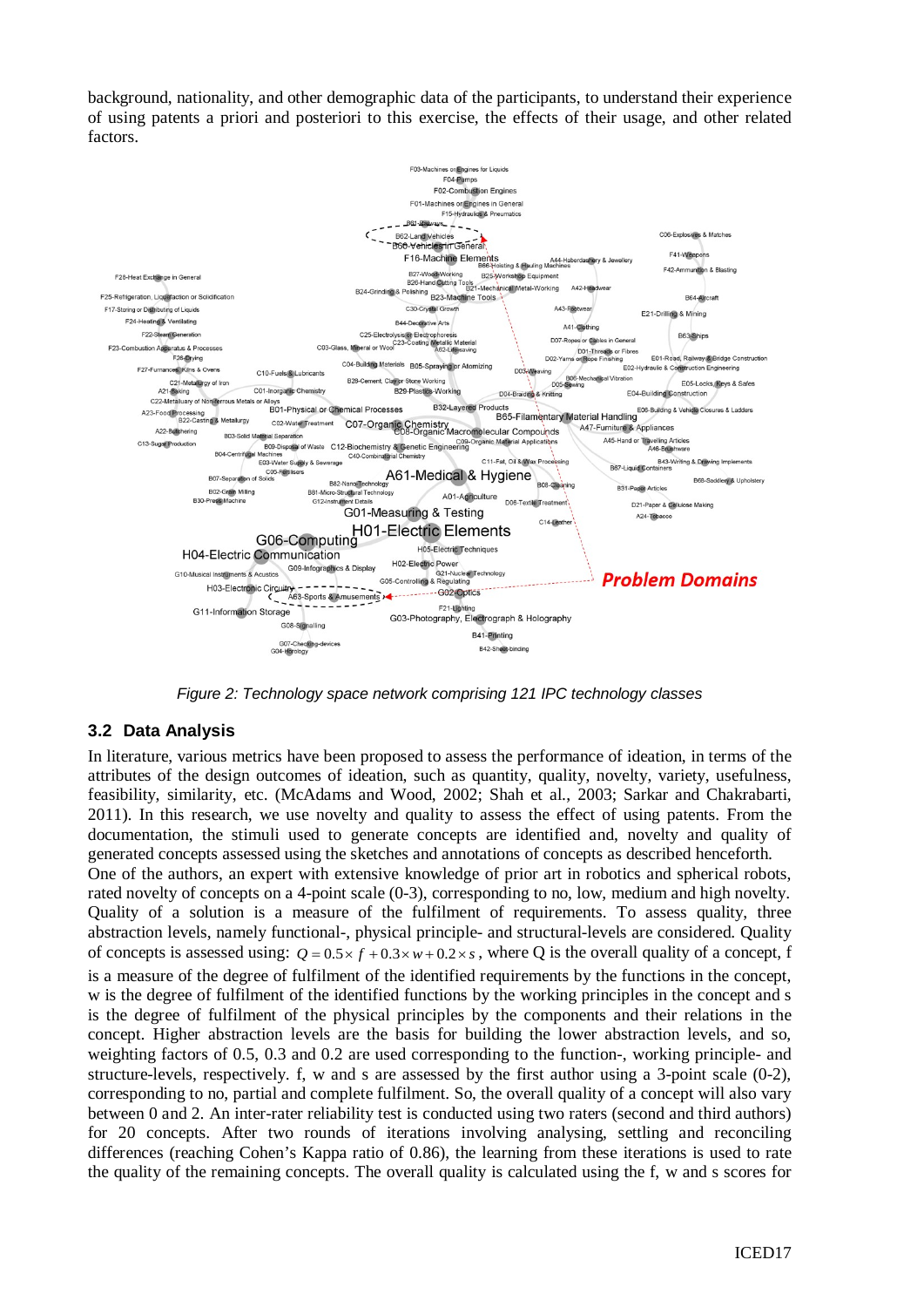background, nationality, and other demographic data of the participants, to understand their experience of using patents a priori and posteriori to this exercise, the effects of their usage, and other related factors.



*Figure 2: Technology space network comprising 121 IPC technology classes* 

# **3.2 Data Analysis**

In literature, various metrics have been proposed to assess the performance of ideation, in terms of the attributes of the design outcomes of ideation, such as quantity, quality, novelty, variety, usefulness, feasibility, similarity, etc. (McAdams and Wood, 2002; Shah et al., 2003; Sarkar and Chakrabarti, 2011). In this research, we use novelty and quality to assess the effect of using patents. From the documentation, the stimuli used to generate concepts are identified and, novelty and quality of generated concepts assessed using the sketches and annotations of concepts as described henceforth. One of the authors, an expert with extensive knowledge of prior art in robotics and spherical robots, rated novelty of concepts on a 4-point scale (0-3), corresponding to no, low, medium and high novelty. Quality of a solution is a measure of the fulfilment of requirements. To assess quality, three abstraction levels, namely functional-, physical principle- and structural-levels are considered. Quality of concepts is assessed using:  $Q = 0.5 \times f + 0.3 \times w + 0.2 \times s$ , where Q is the overall quality of a concept, f is a measure of the degree of fulfilment of the identified requirements by the functions in the concept, w is the degree of fulfilment of the identified functions by the working principles in the concept and s is the degree of fulfilment of the physical principles by the components and their relations in the concept. Higher abstraction levels are the basis for building the lower abstraction levels, and so, weighting factors of 0.5, 0.3 and 0.2 are used corresponding to the function-, working principle- and structure-levels, respectively. f, w and s are assessed by the first author using a 3-point scale (0-2), corresponding to no, partial and complete fulfilment. So, the overall quality of a concept will also vary between 0 and 2. An inter-rater reliability test is conducted using two raters (second and third authors) for 20 concepts. After two rounds of iterations involving analysing, settling and reconciling differences (reaching Cohen's Kappa ratio of 0.86), the learning from these iterations is used to rate the quality of the remaining concepts. The overall quality is calculated using the f, w and s scores for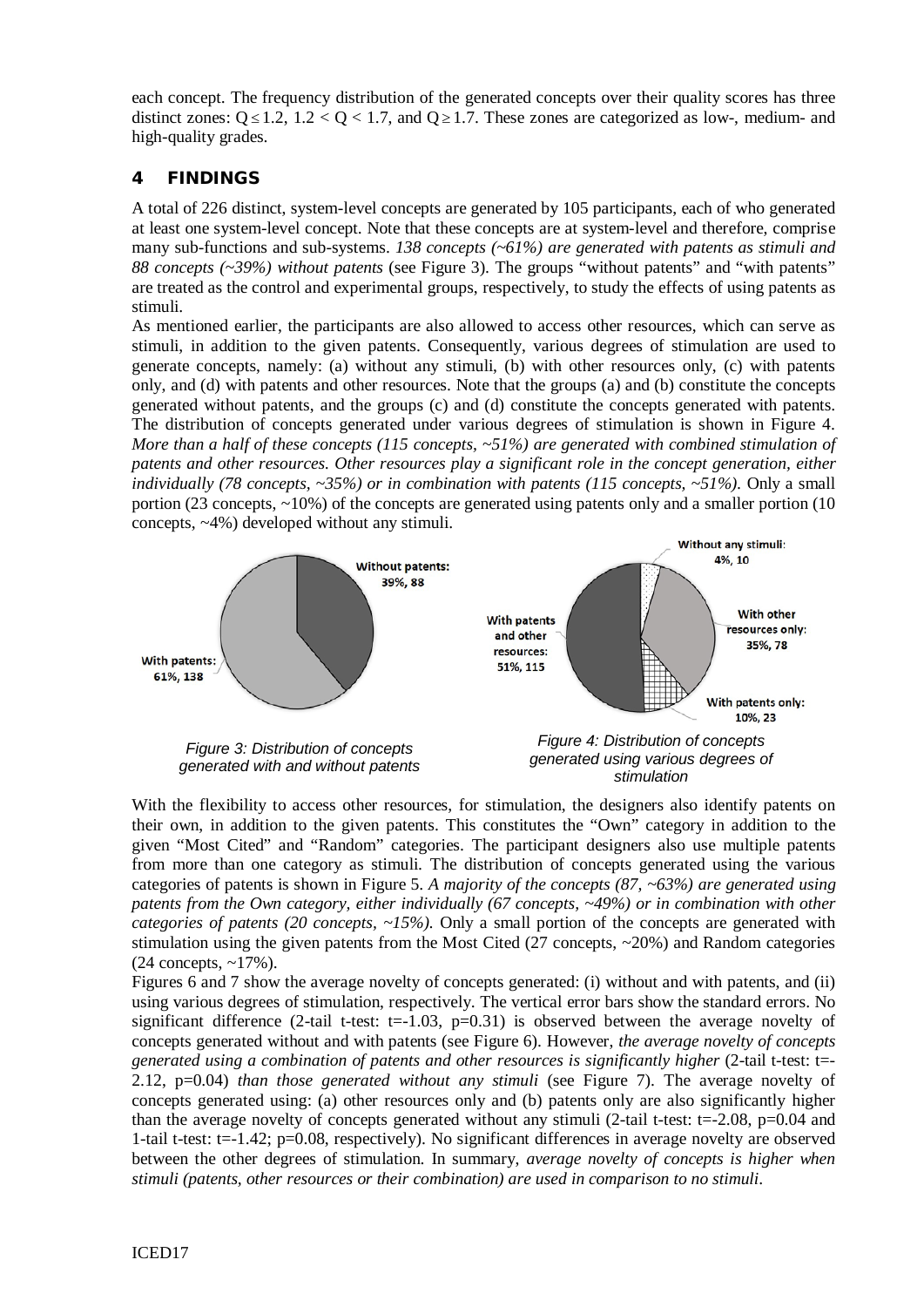each concept. The frequency distribution of the generated concepts over their quality scores has three distinct zones:  $Q \le 1.2$ ,  $1.2 < Q < 1.7$ , and  $Q \ge 1.7$ . These zones are categorized as low-, medium- and high-quality grades.

# 4 FINDINGS

A total of 226 distinct, system-level concepts are generated by 105 participants, each of who generated at least one system-level concept. Note that these concepts are at system-level and therefore, comprise many sub-functions and sub-systems. *138 concepts (~61%) are generated with patents as stimuli and 88 concepts (~39%) without patents* (see [Figure 3\)](#page-5-0). The groups "without patents" and "with patents" are treated as the control and experimental groups, respectively, to study the effects of using patents as stimuli.

As mentioned earlier, the participants are also allowed to access other resources, which can serve as stimuli, in addition to the given patents. Consequently, various degrees of stimulation are used to generate concepts, namely: (a) without any stimuli, (b) with other resources only, (c) with patents only, and (d) with patents and other resources. Note that the groups (a) and (b) constitute the concepts generated without patents, and the groups (c) and (d) constitute the concepts generated with patents. The distribution of concepts generated under various degrees of stimulation is shown in [Figure 4.](#page-5-1) *More than a half of these concepts (115 concepts, ~51%) are generated with combined stimulation of patents and other resources. Other resources play a significant role in the concept generation, either individually (78 concepts, ~35%) or in combination with patents (115 concepts, ~51%).* Only a small portion (23 concepts, ~10%) of the concepts are generated using patents only and a smaller portion (10 concepts, ~4%) developed without any stimuli.



<span id="page-5-1"></span><span id="page-5-0"></span>With the flexibility to access other resources, for stimulation, the designers also identify patents on their own, in addition to the given patents. This constitutes the "Own" category in addition to the given "Most Cited" and "Random" categories. The participant designers also use multiple patents from more than one category as stimuli. The distribution of concepts generated using the various categories of patents is shown in [Figure 5.](#page-6-0) *A majority of the concepts (87, ~63%) are generated using patents from the Own category, either individually (67 concepts, ~49%) or in combination with other categories of patents (20 concepts, ~15%).* Only a small portion of the concepts are generated with stimulation using the given patents from the Most Cited  $(27 \text{ concepts}, \sim 20\%)$  and Random categories  $(24$  concepts,  $\sim$ 17%).

Figures 6 and 7 show the average novelty of concepts generated: (i) without and with patents, and (ii) using various degrees of stimulation, respectively. The vertical error bars show the standard errors. No significant difference (2-tail t-test:  $t=$ -1.03,  $p=0.31$ ) is observed between the average novelty of concepts generated without and with patents (see [Figure 6\)](#page-6-1). However, *the average novelty of concepts generated using a combination of patents and other resources is significantly higher* (2-tail t-test: t=- 2.12, p=0.04) *than those generated without any stimuli* (see [Figure 7\)](#page-6-2). The average novelty of concepts generated using: (a) other resources only and (b) patents only are also significantly higher than the average novelty of concepts generated without any stimuli (2-tail t-test:  $t = -2.08$ ,  $p = 0.04$  and 1-tail t-test: t=-1.42; p=0.08, respectively). No significant differences in average novelty are observed between the other degrees of stimulation. In summary, *average novelty of concepts is higher when stimuli (patents, other resources or their combination) are used in comparison to no stimuli*.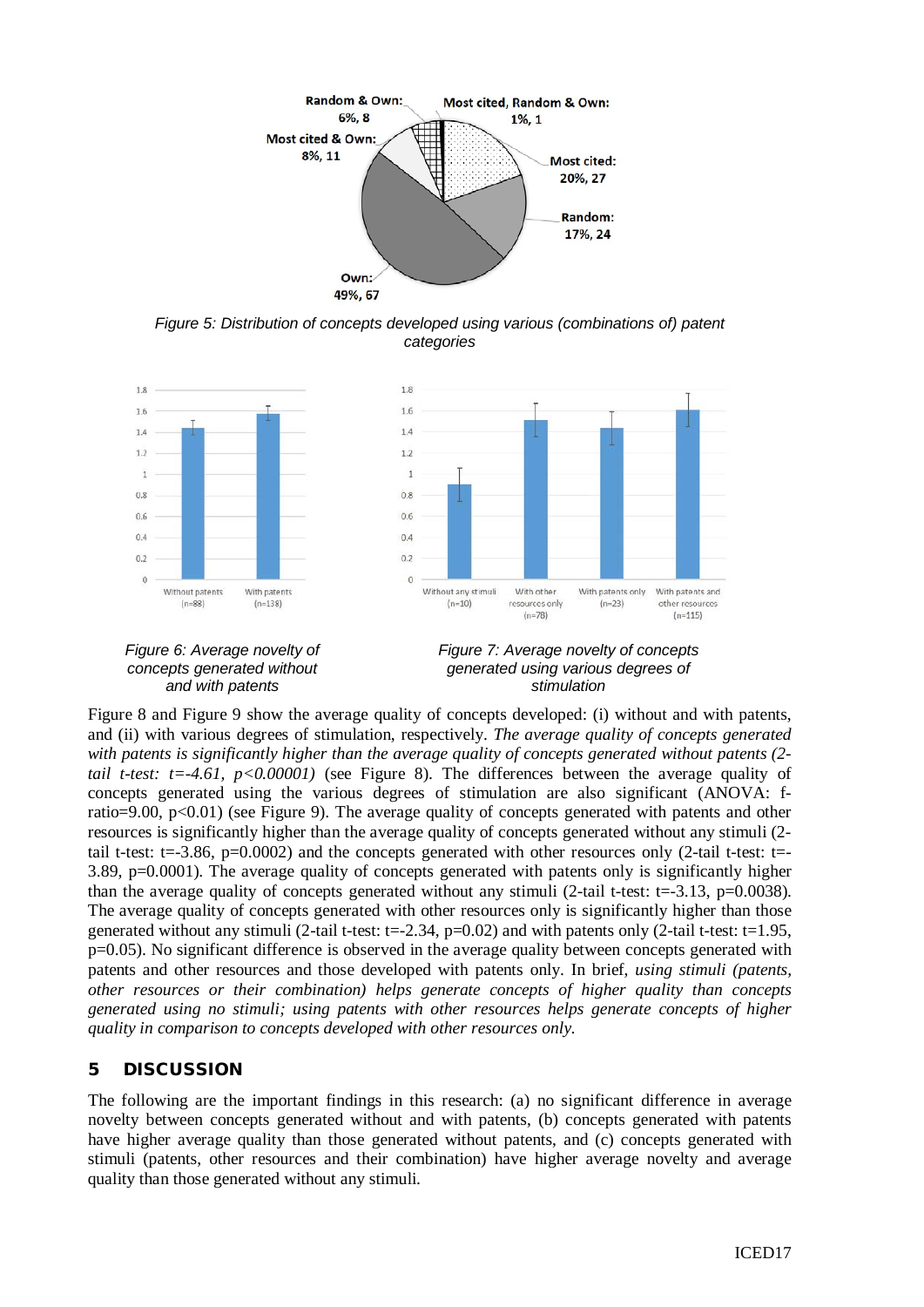

*Figure 5: Distribution of concepts developed using various (combinations of) patent categories*

<span id="page-6-0"></span>

<span id="page-6-2"></span><span id="page-6-1"></span>[Figure 8](#page-7-0) and [Figure 9](#page-7-1) show the average quality of concepts developed: (i) without and with patents, and (ii) with various degrees of stimulation, respectively. *The average quality of concepts generated with patents is significantly higher than the average quality of concepts generated without patents (2 tail t-test:*  $t = -4.61$ ,  $p < 0.00001$  (see Figure 8). The differences between the average quality of concepts generated using the various degrees of stimulation are also significant (ANOVA: fratio=9.00,  $p<0.01$ ) (see Figure 9). The average quality of concepts generated with patents and other resources is significantly higher than the average quality of concepts generated without any stimuli (2 tail t-test: t=-3.86, p=0.0002) and the concepts generated with other resources only (2-tail t-test: t=- 3.89, p=0.0001). The average quality of concepts generated with patents only is significantly higher than the average quality of concepts generated without any stimuli (2-tail t-test: t=-3.13, p=0.0038). The average quality of concepts generated with other resources only is significantly higher than those generated without any stimuli (2-tail t-test:  $t=-2.34$ ,  $p=0.02$ ) and with patents only (2-tail t-test:  $t=1.95$ , p=0.05). No significant difference is observed in the average quality between concepts generated with patents and other resources and those developed with patents only. In brief, *using stimuli (patents, other resources or their combination) helps generate concepts of higher quality than concepts generated using no stimuli; using patents with other resources helps generate concepts of higher quality in comparison to concepts developed with other resources only*.

# 5 DISCUSSION

The following are the important findings in this research: (a) no significant difference in average novelty between concepts generated without and with patents, (b) concepts generated with patents have higher average quality than those generated without patents, and (c) concepts generated with stimuli (patents, other resources and their combination) have higher average novelty and average quality than those generated without any stimuli.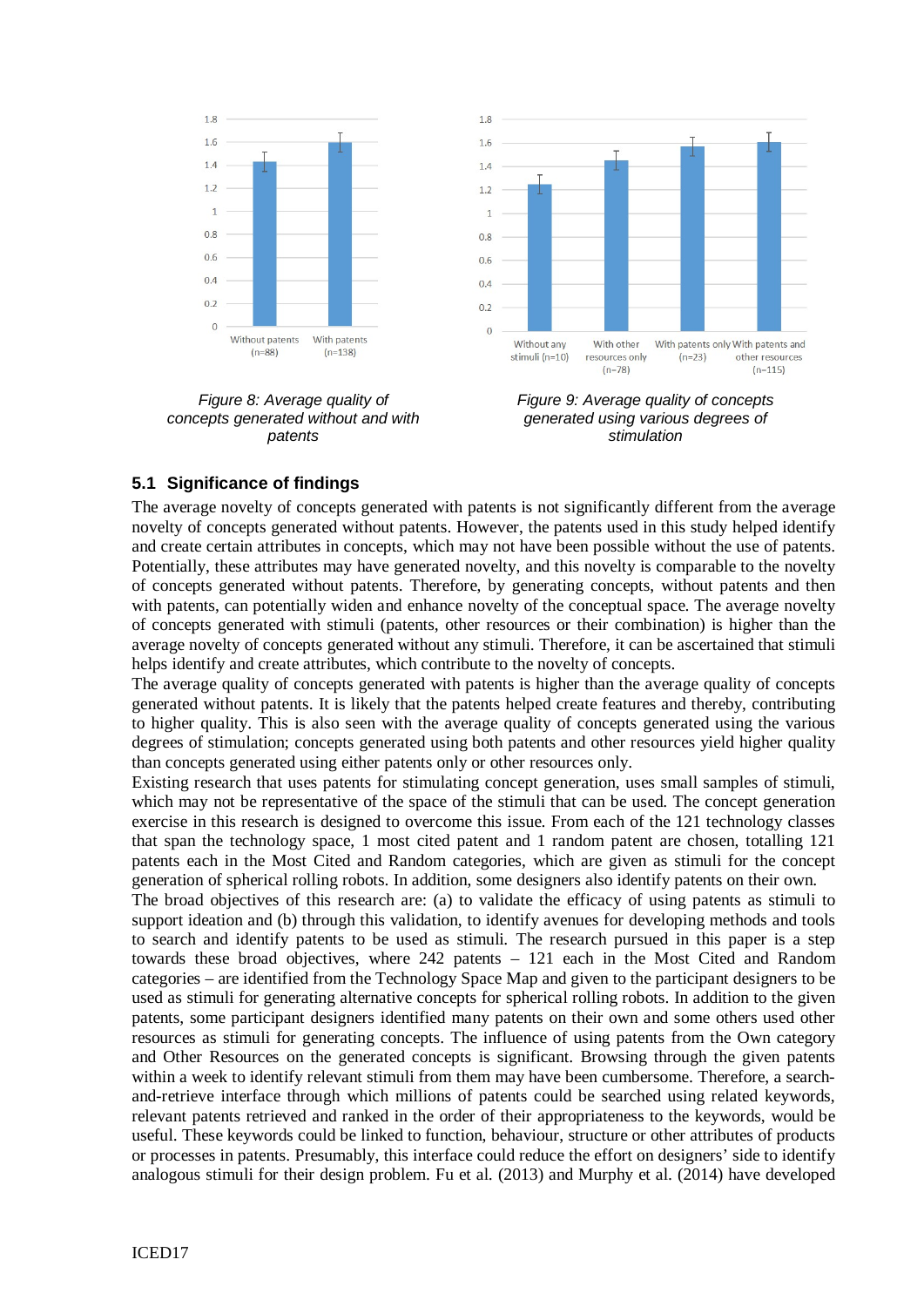

<span id="page-7-0"></span>*Figure 8: Average quality of concepts generated without and with patents*



<span id="page-7-1"></span>*Figure 9: Average quality of concepts generated using various degrees of stimulation*

### **5.1 Significance of findings**

The average novelty of concepts generated with patents is not significantly different from the average novelty of concepts generated without patents. However, the patents used in this study helped identify and create certain attributes in concepts, which may not have been possible without the use of patents. Potentially, these attributes may have generated novelty, and this novelty is comparable to the novelty of concepts generated without patents. Therefore, by generating concepts, without patents and then with patents, can potentially widen and enhance novelty of the conceptual space. The average novelty of concepts generated with stimuli (patents, other resources or their combination) is higher than the average novelty of concepts generated without any stimuli. Therefore, it can be ascertained that stimuli helps identify and create attributes, which contribute to the novelty of concepts.

The average quality of concepts generated with patents is higher than the average quality of concepts generated without patents. It is likely that the patents helped create features and thereby, contributing to higher quality. This is also seen with the average quality of concepts generated using the various degrees of stimulation; concepts generated using both patents and other resources yield higher quality than concepts generated using either patents only or other resources only.

Existing research that uses patents for stimulating concept generation, uses small samples of stimuli, which may not be representative of the space of the stimuli that can be used. The concept generation exercise in this research is designed to overcome this issue. From each of the 121 technology classes that span the technology space, 1 most cited patent and 1 random patent are chosen, totalling 121 patents each in the Most Cited and Random categories, which are given as stimuli for the concept generation of spherical rolling robots. In addition, some designers also identify patents on their own.

The broad objectives of this research are: (a) to validate the efficacy of using patents as stimuli to support ideation and (b) through this validation, to identify avenues for developing methods and tools to search and identify patents to be used as stimuli. The research pursued in this paper is a step towards these broad objectives, where 242 patents – 121 each in the Most Cited and Random categories – are identified from the Technology Space Map and given to the participant designers to be used as stimuli for generating alternative concepts for spherical rolling robots. In addition to the given patents, some participant designers identified many patents on their own and some others used other resources as stimuli for generating concepts. The influence of using patents from the Own category and Other Resources on the generated concepts is significant. Browsing through the given patents within a week to identify relevant stimuli from them may have been cumbersome. Therefore, a searchand-retrieve interface through which millions of patents could be searched using related keywords, relevant patents retrieved and ranked in the order of their appropriateness to the keywords, would be useful. These keywords could be linked to function, behaviour, structure or other attributes of products or processes in patents. Presumably, this interface could reduce the effort on designers' side to identify analogous stimuli for their design problem. Fu et al. (2013) and Murphy et al. (2014) have developed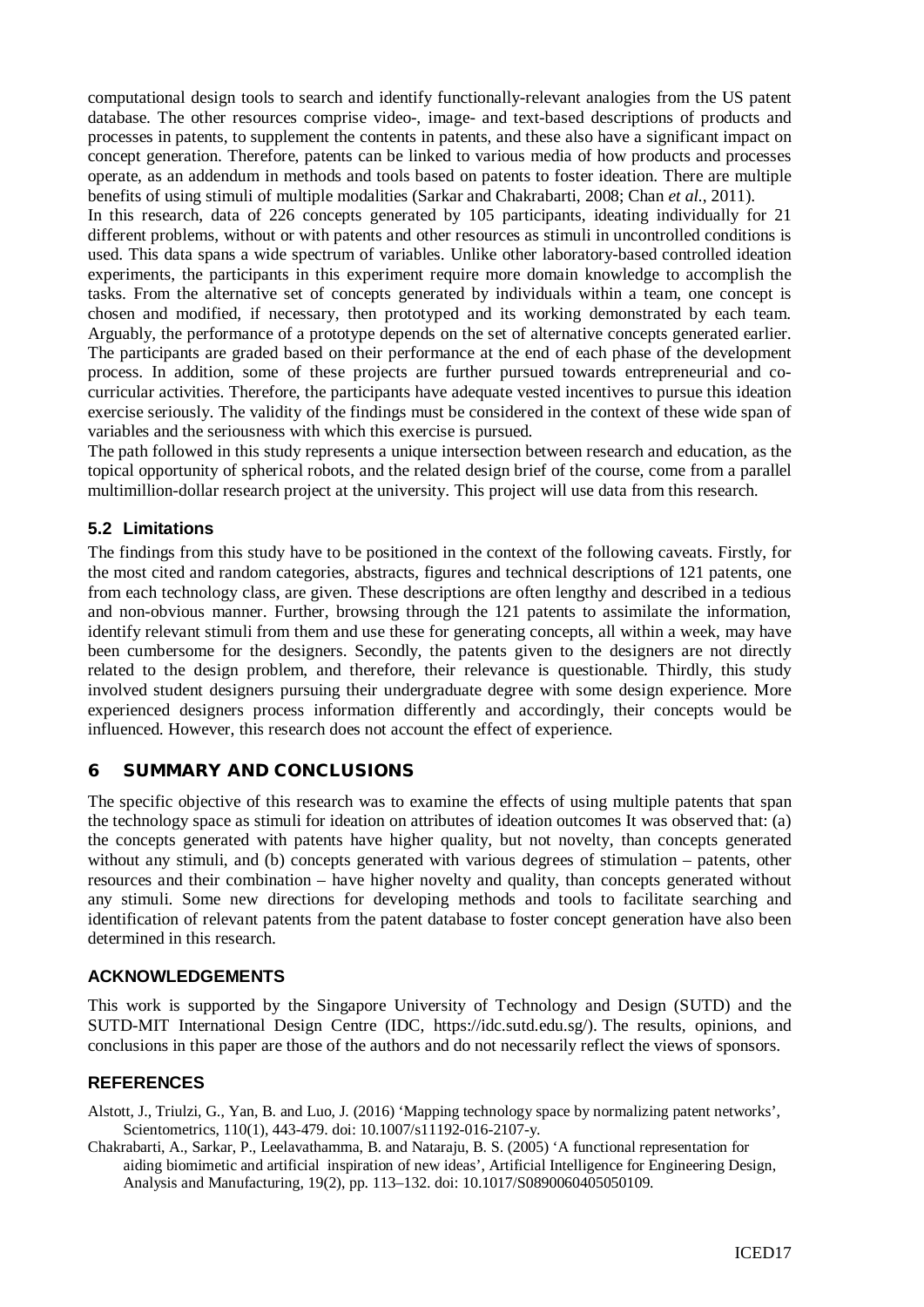computational design tools to search and identify functionally-relevant analogies from the US patent database. The other resources comprise video-, image- and text-based descriptions of products and processes in patents, to supplement the contents in patents, and these also have a significant impact on concept generation. Therefore, patents can be linked to various media of how products and processes operate, as an addendum in methods and tools based on patents to foster ideation. There are multiple benefits of using stimuli of multiple modalities (Sarkar and Chakrabarti, 2008; Chan *et al.*, 2011).

In this research, data of 226 concepts generated by 105 participants, ideating individually for 21 different problems, without or with patents and other resources as stimuli in uncontrolled conditions is used. This data spans a wide spectrum of variables. Unlike other laboratory-based controlled ideation experiments, the participants in this experiment require more domain knowledge to accomplish the tasks. From the alternative set of concepts generated by individuals within a team, one concept is chosen and modified, if necessary, then prototyped and its working demonstrated by each team. Arguably, the performance of a prototype depends on the set of alternative concepts generated earlier. The participants are graded based on their performance at the end of each phase of the development process. In addition, some of these projects are further pursued towards entrepreneurial and cocurricular activities. Therefore, the participants have adequate vested incentives to pursue this ideation exercise seriously. The validity of the findings must be considered in the context of these wide span of variables and the seriousness with which this exercise is pursued.

The path followed in this study represents a unique intersection between research and education, as the topical opportunity of spherical robots, and the related design brief of the course, come from a parallel multimillion-dollar research project at the university. This project will use data from this research.

### **5.2 Limitations**

The findings from this study have to be positioned in the context of the following caveats. Firstly, for the most cited and random categories, abstracts, figures and technical descriptions of 121 patents, one from each technology class, are given. These descriptions are often lengthy and described in a tedious and non-obvious manner. Further, browsing through the 121 patents to assimilate the information, identify relevant stimuli from them and use these for generating concepts, all within a week, may have been cumbersome for the designers. Secondly, the patents given to the designers are not directly related to the design problem, and therefore, their relevance is questionable. Thirdly, this study involved student designers pursuing their undergraduate degree with some design experience. More experienced designers process information differently and accordingly, their concepts would be influenced. However, this research does not account the effect of experience.

#### 6 SUMMARY AND CONCLUSIONS

The specific objective of this research was to examine the effects of using multiple patents that span the technology space as stimuli for ideation on attributes of ideation outcomes It was observed that: (a) the concepts generated with patents have higher quality, but not novelty, than concepts generated without any stimuli, and (b) concepts generated with various degrees of stimulation – patents, other resources and their combination – have higher novelty and quality, than concepts generated without any stimuli. Some new directions for developing methods and tools to facilitate searching and identification of relevant patents from the patent database to foster concept generation have also been determined in this research.

#### **ACKNOWLEDGEMENTS**

This work is supported by the Singapore University of Technology and Design (SUTD) and the SUTD-MIT International Design Centre (IDC, https://idc.sutd.edu.sg/). The results, opinions, and conclusions in this paper are those of the authors and do not necessarily reflect the views of sponsors.

#### **REFERENCES**

Alstott, J., Triulzi, G., Yan, B. and Luo, J. (2016) 'Mapping technology space by normalizing patent networks', Scientometrics, 110(1), 443-479. doi: 10.1007/s11192-016-2107-y.

Chakrabarti, A., Sarkar, P., Leelavathamma, B. and Nataraju, B. S. (2005) 'A functional representation for aiding biomimetic and artificial inspiration of new ideas', Artificial Intelligence for Engineering Design, Analysis and Manufacturing, 19(2), pp. 113–132. doi: 10.1017/S0890060405050109.